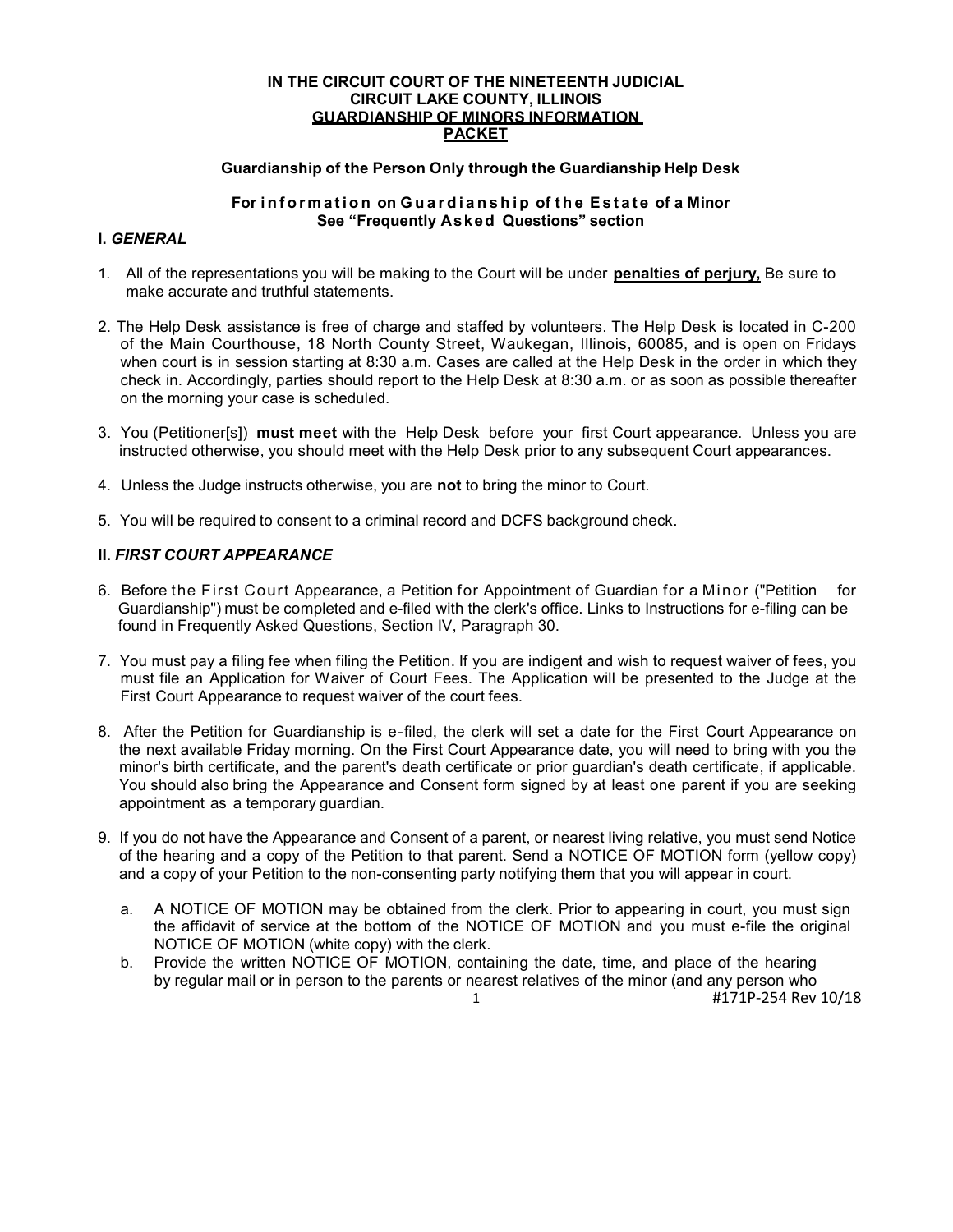### IN THE CIRCUIT COURT OF THE NINETEENTH JUDICIAL CIRCUIT LAKE COUNTY, ILLINOIS GUARDIANSHIP OF MINORS INFORMATION **PACKET**

# Guardianship of the Person Only through the Guardianship Help Desk

### For information on Guardianship of the Estate of a Minor See "Frequently Asked Questions" section

# I. GENERAL

- 1. All of the representations you will be making to the Court will be under penalties of perjury, Be sure to make accurate and truthful statements.
- 2. The Help Desk assistance is free of charge and staffed by volunteers. The Help Desk is located in C-200 of the Main Courthouse, 18 North County Street, Waukegan, Illinois, 60085, and is open on Fridays when court is in session starting at 8:30 a.m. Cases are called at the Help Desk in the order in which they check in. Accordingly, parties should report to the Help Desk at 8:30 a.m. or as soon as possible thereafter on the morning your case is scheduled.
- 3. You (Petitioner[s]) must meet with the Help Desk before your first Court appearance. Unless you are instructed otherwise, you should meet with the Help Desk prior to any subsequent Court appearances.
- 4. Unless the Judge instructs otherwise, you are not to bring the minor to Court.
- 5. You will be required to consent to a criminal record and DCFS background check.

# II. FIRST COURT APPEARANCE

- 6. Before the First Court Appearance, a Petition for Appointment of Guardian for a Minor ("Petition for Guardianship") must be completed and e-filed with the clerk's office. Links to Instructions for e-filing can be found in Frequently Asked Questions, Section IV, Paragraph 30.
- 7. You must pay a filing fee when filing the Petition. If you are indigent and wish to request waiver of fees, you must file an Application for Waiver of Court Fees. The Application will be presented to the Judge at the First Court Appearance to request waiver of the court fees.
- 8. After the Petition for Guardianship is e-filed, the clerk will set a date for the First Court Appearance on the next available Friday morning. On the First Court Appearance date, you will need to bring with you the minor's birth certificate, and the parent's death certificate or prior guardian's death certificate, if applicable. You should also bring the Appearance and Consent form signed by at least one parent if you are seeking appointment as a temporary guardian.
- 9. If you do not have the Appearance and Consent of a parent, or nearest living relative, you must send Notice of the hearing and a copy of the Petition to that parent. Send a NOTICE OF MOTION form (yellow copy) and a copy of your Petition to the non-consenting party notifying them that you will appear in court.
	- a. A NOTICE OF MOTION may be obtained from the clerk. Prior to appearing in court, you must sign the affidavit of service at the bottom of the NOTICE OF MOTION and you must e-file the original NOTICE OF MOTION (white copy) with the clerk.
	- b. Provide the written NOTICE OF MOTION, containing the date, time, and place of the hearing by regular mail or in person to the parents or nearest relatives of the minor (and any person who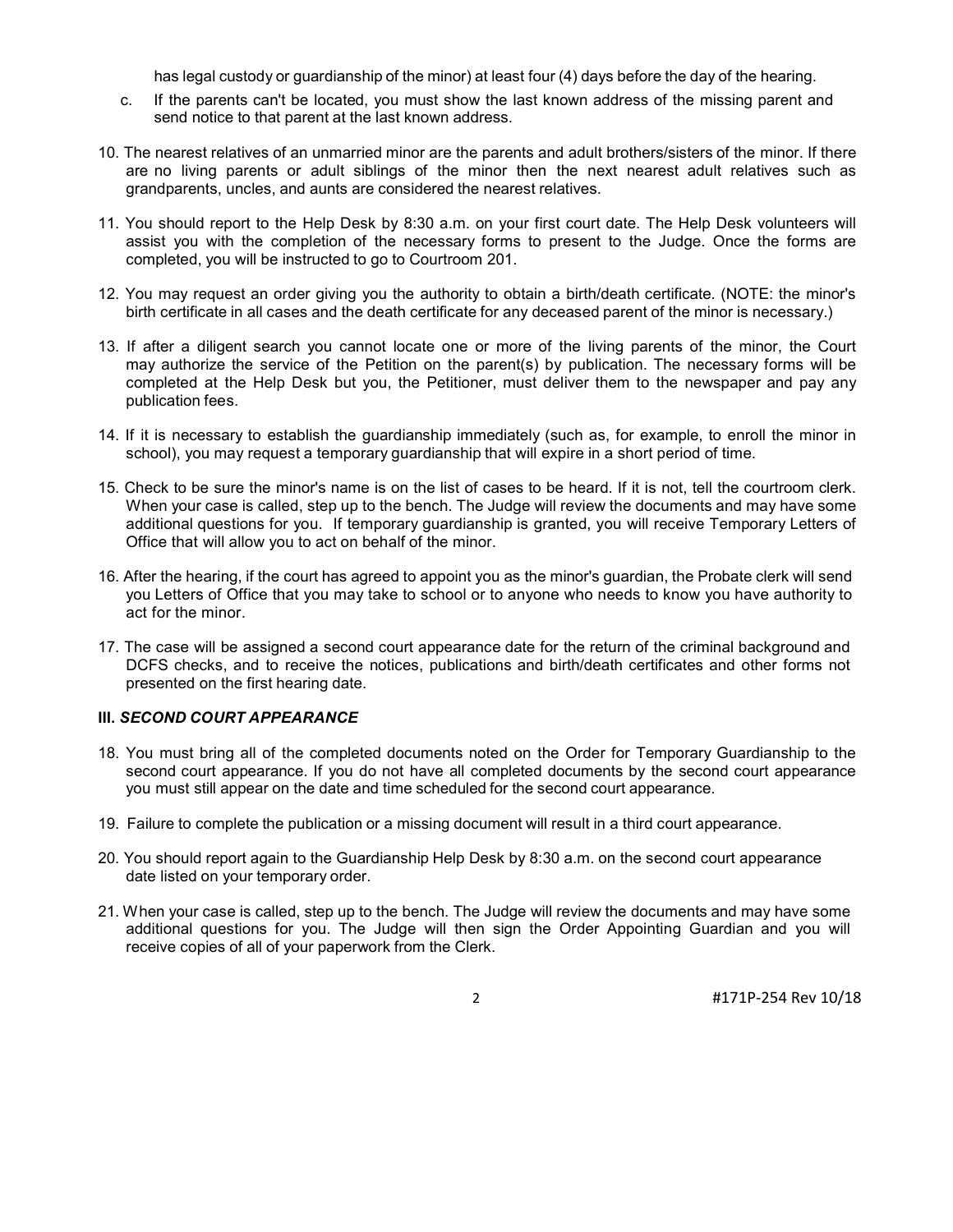has legal custody or guardianship of the minor) at least four (4) days before the day of the hearing.

- c. If the parents can't be located, you must show the last known address of the missing parent and send notice to that parent at the last known address.
- 10. The nearest relatives of an unmarried minor are the parents and adult brothers/sisters of the minor. If there are no living parents or adult siblings of the minor then the next nearest adult relatives such as grandparents, uncles, and aunts are considered the nearest relatives.
- 11. You should report to the Help Desk by 8:30 a.m. on your first court date. The Help Desk volunteers will assist you with the completion of the necessary forms to present to the Judge. Once the forms are completed, you will be instructed to go to Courtroom 201.
- 12. You may request an order giving you the authority to obtain a birth/death certificate. (NOTE: the minor's birth certificate in all cases and the death certificate for any deceased parent of the minor is necessary.)
- 13. If after a diligent search you cannot locate one or more of the living parents of the minor, the Court may authorize the service of the Petition on the parent(s) by publication. The necessary forms will be completed at the Help Desk but you, the Petitioner, must deliver them to the newspaper and pay any publication fees.
- 14. If it is necessary to establish the guardianship immediately (such as, for example, to enroll the minor in school), you may request a temporary guardianship that will expire in a short period of time.
- 15. Check to be sure the minor's name is on the list of cases to be heard. If it is not, tell the courtroom clerk. When your case is called, step up to the bench. The Judge will review the documents and may have some additional questions for you. If temporary guardianship is granted, you will receive Temporary Letters of Office that will allow you to act on behalf of the minor.
- 16. After the hearing, if the court has agreed to appoint you as the minor's guardian, the Probate clerk will send you Letters of Office that you may take to school or to anyone who needs to know you have authority to act for the minor.
- 17. The case will be assigned a second court appearance date for the return of the criminal background and DCFS checks, and to receive the notices, publications and birth/death certificates and other forms not presented on the first hearing date.

# III. SECOND COURT APPEARANCE

- 18. You must bring all of the completed documents noted on the Order for Temporary Guardianship to the second court appearance. If you do not have all completed documents by the second court appearance you must still appear on the date and time scheduled for the second court appearance.
- 19. Failure to complete the publication or a missing document will result in a third court appearance.
- 20. You should report again to the Guardianship Help Desk by 8:30 a.m. on the second court appearance date listed on your temporary order.
- 21. When your case is called, step up to the bench. The Judge will review the documents and may have some additional questions for you. The Judge will then sign the Order Appointing Guardian and you will receive copies of all of your paperwork from the Clerk.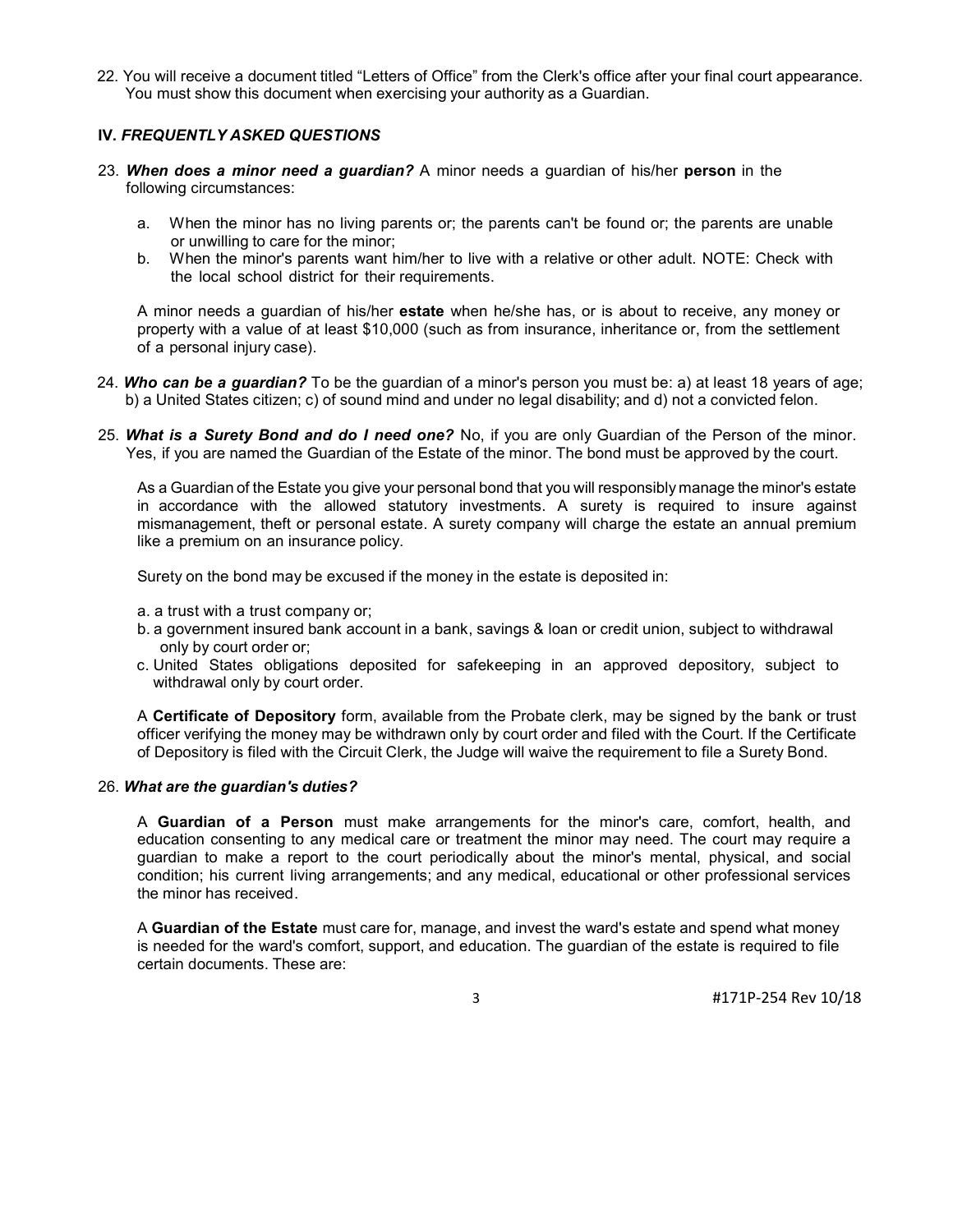22. You will receive a document titled "Letters of Office" from the Clerk's office after your final court appearance. You must show this document when exercising your authority as a Guardian.

# IV. FREQUENTLY ASKED QUESTIONS

- 23. When does a minor need a guardian? A minor needs a guardian of his/her person in the following circumstances:
	- a. When the minor has no living parents or; the parents can't be found or; the parents are unable or unwilling to care for the minor;
	- b. When the minor's parents want him/her to live with a relative or other adult. NOTE: Check with the local school district for their requirements.

A minor needs a guardian of his/her estate when he/she has, or is about to receive, any money or property with a value of at least \$10,000 (such as from insurance, inheritance or, from the settlement of a personal injury case).

- 24. Who can be a quardian? To be the quardian of a minor's person you must be: a) at least 18 years of age; b) a United States citizen; c) of sound mind and under no legal disability; and d) not a convicted felon.
- 25. What is a Surety Bond and do I need one? No, if you are only Guardian of the Person of the minor. Yes, if you are named the Guardian of the Estate of the minor. The bond must be approved by the court.

As a Guardian of the Estate you give your personal bond that you will responsibly manage the minor's estate in accordance with the allowed statutory investments. A surety is required to insure against mismanagement, theft or personal estate. A surety company will charge the estate an annual premium like a premium on an insurance policy.

Surety on the bond may be excused if the money in the estate is deposited in:

- a. a trust with a trust company or;
- b. a government insured bank account in a bank, savings & loan or credit union, subject to withdrawal only by court order or;
- c. United States obligations deposited for safekeeping in an approved depository, subject to withdrawal only by court order.

A Certificate of Depository form, available from the Probate clerk, may be signed by the bank or trust officer verifying the money may be withdrawn only by court order and filed with the Court. If the Certificate of Depository is filed with the Circuit Clerk, the Judge will waive the requirement to file a Surety Bond.

### 26. What are the guardian's duties?

A Guardian of a Person must make arrangements for the minor's care, comfort, health, and education consenting to any medical care or treatment the minor may need. The court may require a guardian to make a report to the court periodically about the minor's mental, physical, and social condition; his current living arrangements; and any medical, educational or other professional services the minor has received.

A Guardian of the Estate must care for, manage, and invest the ward's estate and spend what money is needed for the ward's comfort, support, and education. The guardian of the estate is required to file certain documents. These are: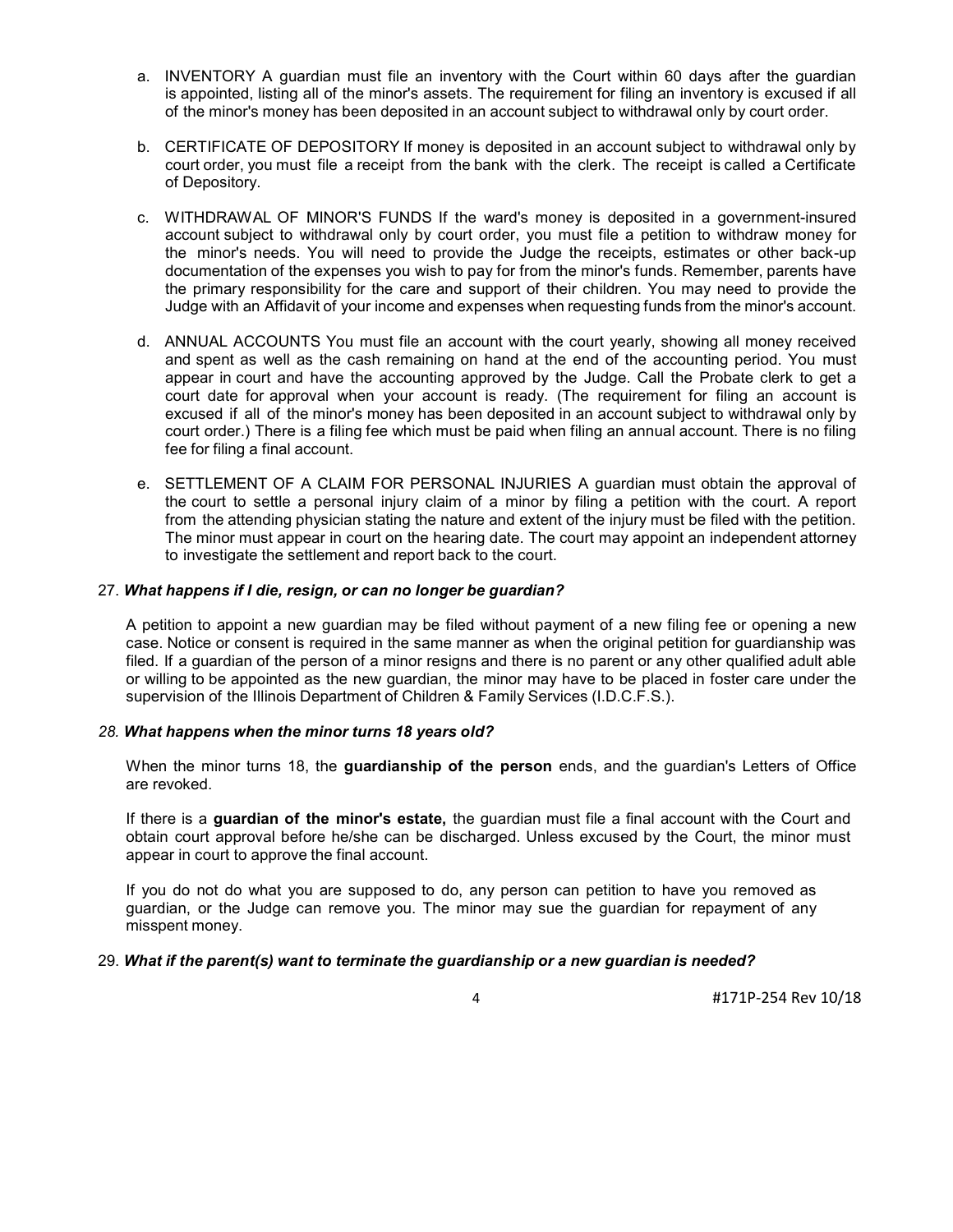- a. INVENTORY A guardian must file an inventory with the Court within 60 days after the guardian is appointed, listing all of the minor's assets. The requirement for filing an inventory is excused if all of the minor's money has been deposited in an account subject to withdrawal only by court order.
- b. CERTIFICATE OF DEPOSITORY If money is deposited in an account subject to withdrawal only by court order, you must file a receipt from the bank with the clerk. The receipt is called a Certificate of Depository.
- c. WITHDRAWAL OF MINOR'S FUNDS If the ward's money is deposited in a government-insured account subject to withdrawal only by court order, you must file a petition to withdraw money for the minor's needs. You will need to provide the Judge the receipts, estimates or other back-up documentation of the expenses you wish to pay for from the minor's funds. Remember, parents have the primary responsibility for the care and support of their children. You may need to provide the Judge with an Affidavit of your income and expenses when requesting funds from the minor's account.
- d. ANNUAL ACCOUNTS You must file an account with the court yearly, showing all money received and spent as well as the cash remaining on hand at the end of the accounting period. You must appear in court and have the accounting approved by the Judge. Call the Probate clerk to get a court date for approval when your account is ready. (The requirement for filing an account is excused if all of the minor's money has been deposited in an account subject to withdrawal only by court order.) There is a filing fee which must be paid when filing an annual account. There is no filing fee for filing a final account.
- e. SETTLEMENT OF A CLAIM FOR PERSONAL INJURIES A guardian must obtain the approval of the court to settle a personal injury claim of a minor by filing a petition with the court. A report from the attending physician stating the nature and extent of the injury must be filed with the petition. The minor must appear in court on the hearing date. The court may appoint an independent attorney to investigate the settlement and report back to the court.

### 27. What happens if I die, resign, or can no longer be guardian?

A petition to appoint a new guardian may be filed without payment of a new filing fee or opening a new case. Notice or consent is required in the same manner as when the original petition for guardianship was filed. If a guardian of the person of a minor resigns and there is no parent or any other qualified adult able or willing to be appointed as the new guardian, the minor may have to be placed in foster care under the supervision of the Illinois Department of Children & Family Services (I.D.C.F.S.).

### 28. What happens when the minor turns 18 years old?

When the minor turns 18, the **guardianship of the person** ends, and the guardian's Letters of Office are revoked.

If there is a guardian of the minor's estate, the guardian must file a final account with the Court and obtain court approval before he/she can be discharged. Unless excused by the Court, the minor must appear in court to approve the final account.

If you do not do what you are supposed to do, any person can petition to have you removed as guardian, or the Judge can remove you. The minor may sue the guardian for repayment of any misspent money.

### 29. What if the parent(s) want to terminate the guardianship or a new guardian is needed?